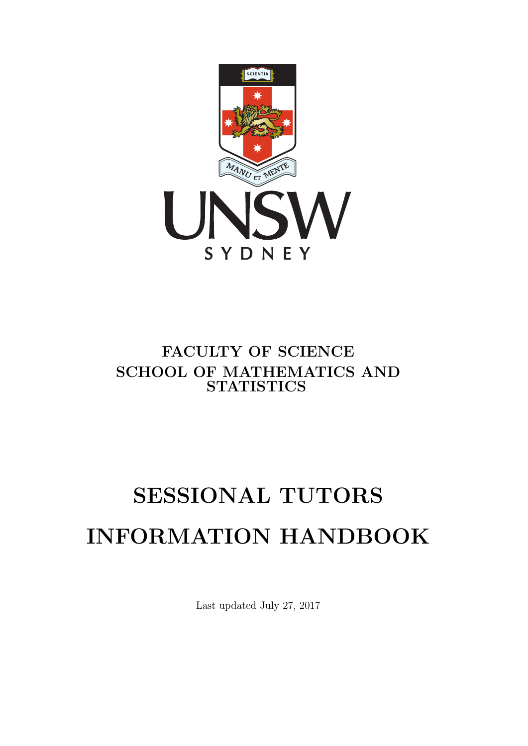

# FACULTY OF SCIENCE SCHOOL OF MATHEMATICS AND **STATISTICS**

# SESSIONAL TUTORS INFORMATION HANDBOOK

Last updated July 27, 2017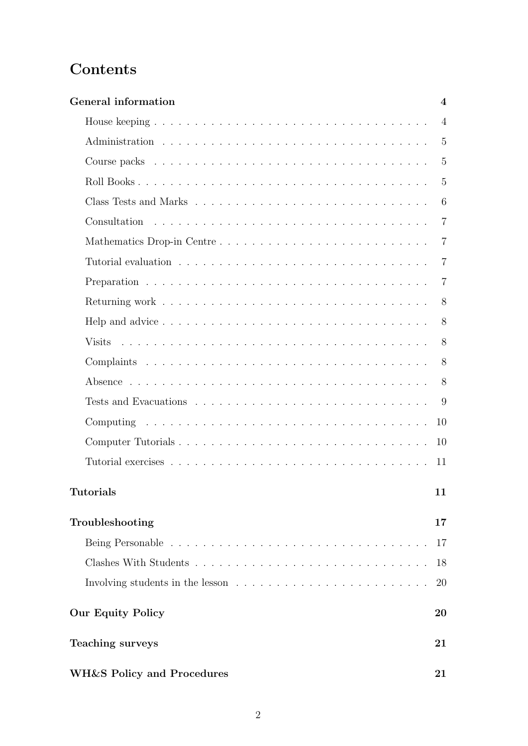# **Contents**

| General information                   | $\overline{\mathbf{4}}$ |
|---------------------------------------|-------------------------|
|                                       | $\overline{4}$          |
|                                       | $\overline{5}$          |
|                                       | $\overline{5}$          |
|                                       | $\overline{5}$          |
|                                       | 6                       |
|                                       | 7                       |
|                                       | 7                       |
|                                       | $\overline{7}$          |
|                                       | 7                       |
|                                       | 8                       |
|                                       | 8                       |
|                                       | 8                       |
|                                       | 8                       |
|                                       | 8                       |
|                                       | 9                       |
|                                       | 10                      |
|                                       | 10                      |
|                                       | 11                      |
| ${\rm Tutorials}$                     | 11                      |
| Troubleshooting                       | 17                      |
|                                       | 17                      |
|                                       | 18                      |
|                                       | 20                      |
| <b>Our Equity Policy</b>              | 20                      |
| Teaching surveys                      | 21                      |
| <b>WH&amp;S Policy and Procedures</b> | 21                      |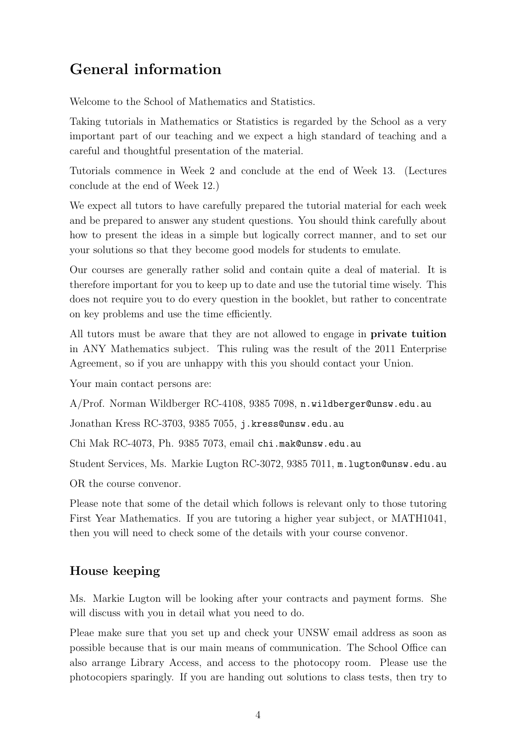# <span id="page-3-0"></span>General information

Welcome to the School of Mathematics and Statistics.

Taking tutorials in Mathematics or Statistics is regarded by the School as a very important part of our teaching and we expect a high standard of teaching and a careful and thoughtful presentation of the material.

Tutorials commence in Week 2 and conclude at the end of Week 13. (Lectures conclude at the end of Week 12.)

We expect all tutors to have carefully prepared the tutorial material for each week and be prepared to answer any student questions. You should think carefully about how to present the ideas in a simple but logically correct manner, and to set our your solutions so that they become good models for students to emulate.

Our courses are generally rather solid and contain quite a deal of material. It is therefore important for you to keep up to date and use the tutorial time wisely. This does not require you to do every question in the booklet, but rather to concentrate on key problems and use the time efficiently.

All tutors must be aware that they are not allowed to engage in private tuition in ANY Mathematics subject. This ruling was the result of the 2011 Enterprise Agreement, so if you are unhappy with this you should contact your Union.

Your main contact persons are:

A/Prof. Norman Wildberger RC-4108, 9385 7098, n.wildberger@unsw.edu.au

Jonathan Kress RC-3703, 9385 7055, j.kress@unsw.edu.au

Chi Mak RC-4073, Ph. 9385 7073, email chi.mak@unsw.edu.au

Student Services, Ms. Markie Lugton RC-3072, 9385 7011, m.lugton@unsw.edu.au

OR the course convenor.

Please note that some of the detail which follows is relevant only to those tutoring First Year Mathematics. If you are tutoring a higher year subject, or MATH1041, then you will need to check some of the details with your course convenor.

## <span id="page-3-1"></span>House keeping

Ms. Markie Lugton will be looking after your contracts and payment forms. She will discuss with you in detail what you need to do.

Pleae make sure that you set up and check your UNSW email address as soon as possible because that is our main means of communication. The School Office can also arrange Library Access, and access to the photocopy room. Please use the photocopiers sparingly. If you are handing out solutions to class tests, then try to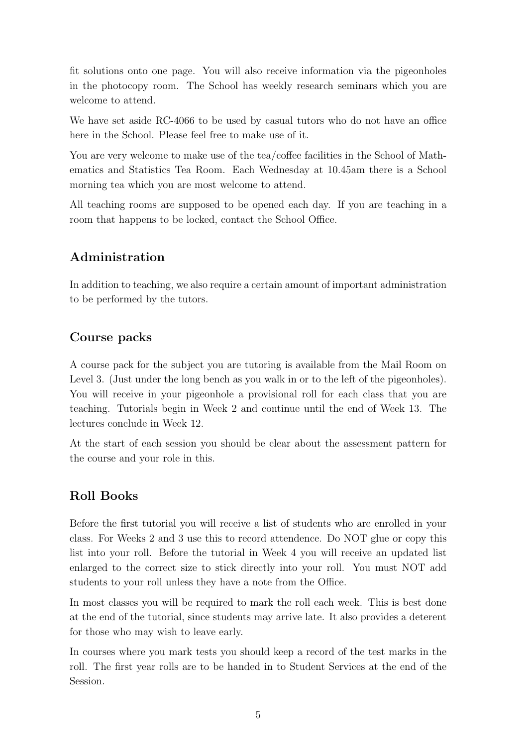fit solutions onto one page. You will also receive information via the pigeonholes in the photocopy room. The School has weekly research seminars which you are welcome to attend.

We have set aside RC-4066 to be used by casual tutors who do not have an office here in the School. Please feel free to make use of it.

You are very welcome to make use of the tea/coffee facilities in the School of Mathematics and Statistics Tea Room. Each Wednesday at 10.45am there is a School morning tea which you are most welcome to attend.

All teaching rooms are supposed to be opened each day. If you are teaching in a room that happens to be locked, contact the School Office.

## <span id="page-4-0"></span>Administration

In addition to teaching, we also require a certain amount of important administration to be performed by the tutors.

## <span id="page-4-1"></span>Course packs

A course pack for the subject you are tutoring is available from the Mail Room on Level 3. (Just under the long bench as you walk in or to the left of the pigeonholes). You will receive in your pigeonhole a provisional roll for each class that you are teaching. Tutorials begin in Week 2 and continue until the end of Week 13. The lectures conclude in Week 12.

At the start of each session you should be clear about the assessment pattern for the course and your role in this.

## <span id="page-4-2"></span>Roll Books

Before the first tutorial you will receive a list of students who are enrolled in your class. For Weeks 2 and 3 use this to record attendence. Do NOT glue or copy this list into your roll. Before the tutorial in Week 4 you will receive an updated list enlarged to the correct size to stick directly into your roll. You must NOT add students to your roll unless they have a note from the Office.

In most classes you will be required to mark the roll each week. This is best done at the end of the tutorial, since students may arrive late. It also provides a deterent for those who may wish to leave early.

In courses where you mark tests you should keep a record of the test marks in the roll. The first year rolls are to be handed in to Student Services at the end of the Session.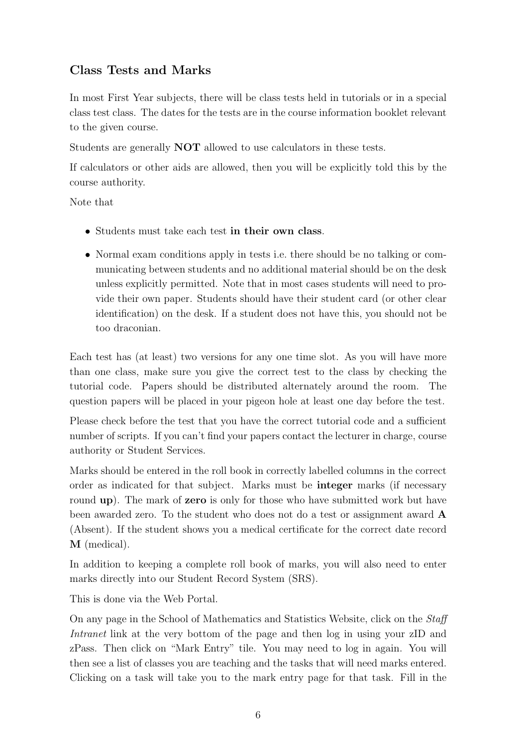## <span id="page-5-0"></span>Class Tests and Marks

In most First Year subjects, there will be class tests held in tutorials or in a special class test class. The dates for the tests are in the course information booklet relevant to the given course.

Students are generally NOT allowed to use calculators in these tests.

If calculators or other aids are allowed, then you will be explicitly told this by the course authority.

Note that

- Students must take each test in their own class.
- Normal exam conditions apply in tests i.e. there should be no talking or communicating between students and no additional material should be on the desk unless explicitly permitted. Note that in most cases students will need to provide their own paper. Students should have their student card (or other clear identification) on the desk. If a student does not have this, you should not be too draconian.

Each test has (at least) two versions for any one time slot. As you will have more than one class, make sure you give the correct test to the class by checking the tutorial code. Papers should be distributed alternately around the room. The question papers will be placed in your pigeon hole at least one day before the test.

Please check before the test that you have the correct tutorial code and a sufficient number of scripts. If you can't find your papers contact the lecturer in charge, course authority or Student Services.

Marks should be entered in the roll book in correctly labelled columns in the correct order as indicated for that subject. Marks must be integer marks (if necessary round **up**). The mark of **zero** is only for those who have submitted work but have been awarded zero. To the student who does not do a test or assignment award A (Absent). If the student shows you a medical certificate for the correct date record M (medical).

In addition to keeping a complete roll book of marks, you will also need to enter marks directly into our Student Record System (SRS).

This is done via the Web Portal.

On any page in the School of Mathematics and Statistics Website, click on the Staff Intranet link at the very bottom of the page and then log in using your zID and zPass. Then click on "Mark Entry" tile. You may need to log in again. You will then see a list of classes you are teaching and the tasks that will need marks entered. Clicking on a task will take you to the mark entry page for that task. Fill in the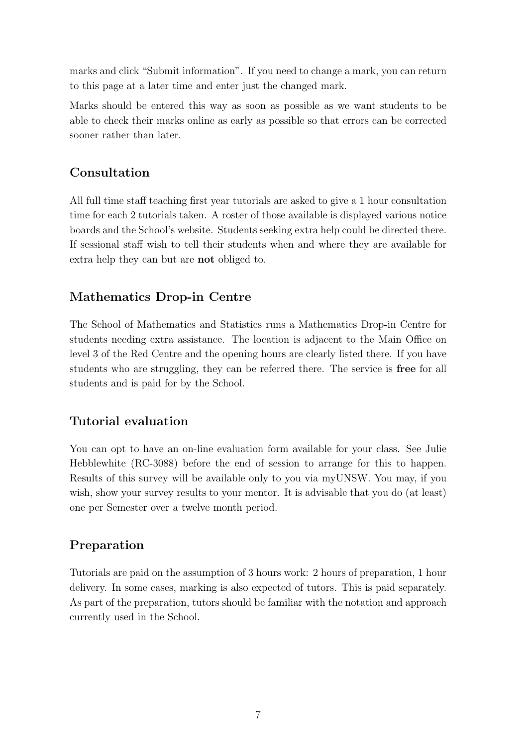marks and click "Submit information". If you need to change a mark, you can return to this page at a later time and enter just the changed mark.

Marks should be entered this way as soon as possible as we want students to be able to check their marks online as early as possible so that errors can be corrected sooner rather than later.

## <span id="page-6-0"></span>Consultation

All full time staff teaching first year tutorials are asked to give a 1 hour consultation time for each 2 tutorials taken. A roster of those available is displayed various notice boards and the School's website. Students seeking extra help could be directed there. If sessional staff wish to tell their students when and where they are available for extra help they can but are not obliged to.

## <span id="page-6-1"></span>Mathematics Drop-in Centre

The School of Mathematics and Statistics runs a Mathematics Drop-in Centre for students needing extra assistance. The location is adjacent to the Main Office on level 3 of the Red Centre and the opening hours are clearly listed there. If you have students who are struggling, they can be referred there. The service is free for all students and is paid for by the School.

## <span id="page-6-2"></span>Tutorial evaluation

You can opt to have an on-line evaluation form available for your class. See Julie Hebblewhite (RC-3088) before the end of session to arrange for this to happen. Results of this survey will be available only to you via myUNSW. You may, if you wish, show your survey results to your mentor. It is advisable that you do (at least) one per Semester over a twelve month period.

## <span id="page-6-3"></span>Preparation

Tutorials are paid on the assumption of 3 hours work: 2 hours of preparation, 1 hour delivery. In some cases, marking is also expected of tutors. This is paid separately. As part of the preparation, tutors should be familiar with the notation and approach currently used in the School.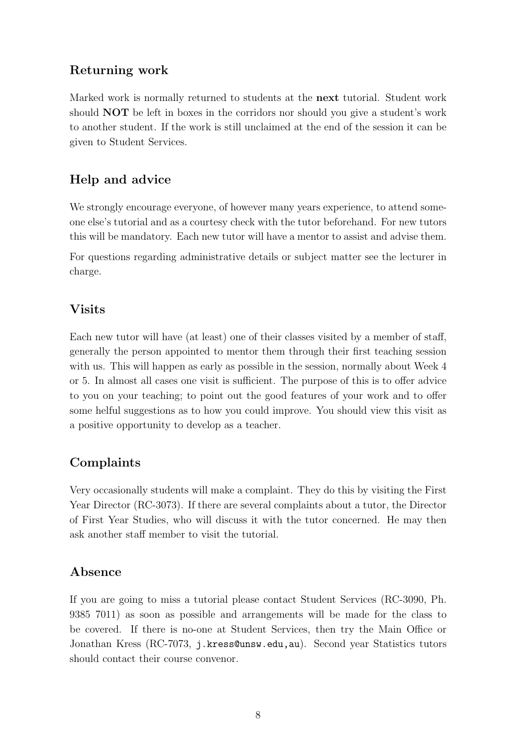## <span id="page-7-0"></span>Returning work

Marked work is normally returned to students at the next tutorial. Student work should NOT be left in boxes in the corridors nor should you give a student's work to another student. If the work is still unclaimed at the end of the session it can be given to Student Services.

## <span id="page-7-1"></span>Help and advice

We strongly encourage everyone, of however many years experience, to attend someone else's tutorial and as a courtesy check with the tutor beforehand. For new tutors this will be mandatory. Each new tutor will have a mentor to assist and advise them.

For questions regarding administrative details or subject matter see the lecturer in charge.

## <span id="page-7-2"></span>Visits

Each new tutor will have (at least) one of their classes visited by a member of staff, generally the person appointed to mentor them through their first teaching session with us. This will happen as early as possible in the session, normally about Week 4 or 5. In almost all cases one visit is sufficient. The purpose of this is to offer advice to you on your teaching; to point out the good features of your work and to offer some helful suggestions as to how you could improve. You should view this visit as a positive opportunity to develop as a teacher.

## <span id="page-7-3"></span>Complaints

Very occasionally students will make a complaint. They do this by visiting the First Year Director (RC-3073). If there are several complaints about a tutor, the Director of First Year Studies, who will discuss it with the tutor concerned. He may then ask another staff member to visit the tutorial.

## <span id="page-7-4"></span>Absence

If you are going to miss a tutorial please contact Student Services (RC-3090, Ph. 9385 7011) as soon as possible and arrangements will be made for the class to be covered. If there is no-one at Student Services, then try the Main Office or Jonathan Kress (RC-7073, j.kress@unsw.edu,au). Second year Statistics tutors should contact their course convenor.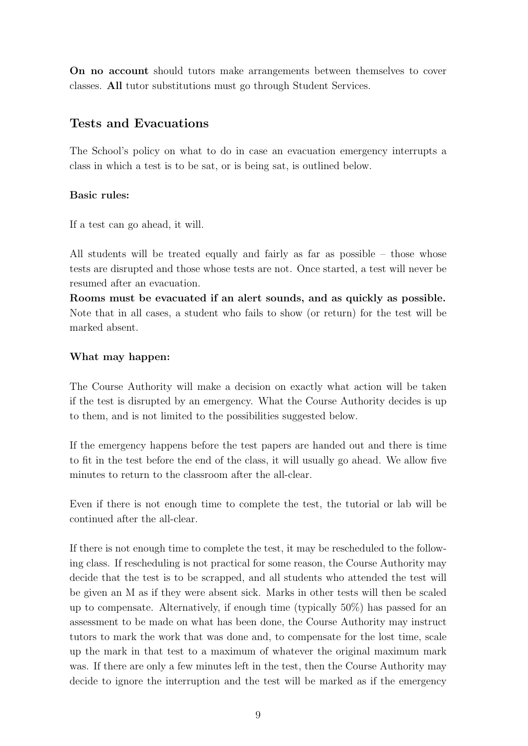On no account should tutors make arrangements between themselves to cover classes. All tutor substitutions must go through Student Services.

## <span id="page-8-0"></span>Tests and Evacuations

The School's policy on what to do in case an evacuation emergency interrupts a class in which a test is to be sat, or is being sat, is outlined below.

#### Basic rules:

If a test can go ahead, it will.

All students will be treated equally and fairly as far as possible – those whose tests are disrupted and those whose tests are not. Once started, a test will never be resumed after an evacuation.

Rooms must be evacuated if an alert sounds, and as quickly as possible. Note that in all cases, a student who fails to show (or return) for the test will be marked absent.

#### What may happen:

The Course Authority will make a decision on exactly what action will be taken if the test is disrupted by an emergency. What the Course Authority decides is up to them, and is not limited to the possibilities suggested below.

If the emergency happens before the test papers are handed out and there is time to fit in the test before the end of the class, it will usually go ahead. We allow five minutes to return to the classroom after the all-clear.

Even if there is not enough time to complete the test, the tutorial or lab will be continued after the all-clear.

If there is not enough time to complete the test, it may be rescheduled to the following class. If rescheduling is not practical for some reason, the Course Authority may decide that the test is to be scrapped, and all students who attended the test will be given an M as if they were absent sick. Marks in other tests will then be scaled up to compensate. Alternatively, if enough time (typically 50%) has passed for an assessment to be made on what has been done, the Course Authority may instruct tutors to mark the work that was done and, to compensate for the lost time, scale up the mark in that test to a maximum of whatever the original maximum mark was. If there are only a few minutes left in the test, then the Course Authority may decide to ignore the interruption and the test will be marked as if the emergency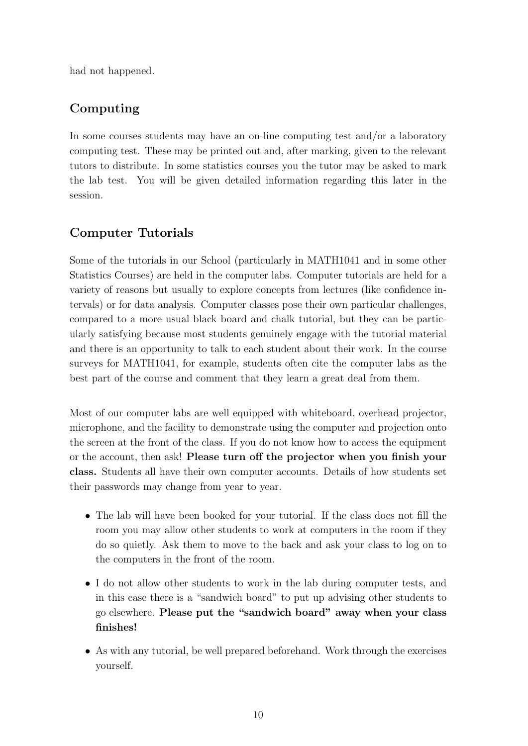had not happened.

## <span id="page-9-0"></span>Computing

In some courses students may have an on-line computing test and/or a laboratory computing test. These may be printed out and, after marking, given to the relevant tutors to distribute. In some statistics courses you the tutor may be asked to mark the lab test. You will be given detailed information regarding this later in the session.

## <span id="page-9-1"></span>Computer Tutorials

Some of the tutorials in our School (particularly in MATH1041 and in some other Statistics Courses) are held in the computer labs. Computer tutorials are held for a variety of reasons but usually to explore concepts from lectures (like confidence intervals) or for data analysis. Computer classes pose their own particular challenges, compared to a more usual black board and chalk tutorial, but they can be particularly satisfying because most students genuinely engage with the tutorial material and there is an opportunity to talk to each student about their work. In the course surveys for MATH1041, for example, students often cite the computer labs as the best part of the course and comment that they learn a great deal from them.

Most of our computer labs are well equipped with whiteboard, overhead projector, microphone, and the facility to demonstrate using the computer and projection onto the screen at the front of the class. If you do not know how to access the equipment or the account, then ask! Please turn off the projector when you finish your class. Students all have their own computer accounts. Details of how students set their passwords may change from year to year.

- The lab will have been booked for your tutorial. If the class does not fill the room you may allow other students to work at computers in the room if they do so quietly. Ask them to move to the back and ask your class to log on to the computers in the front of the room.
- I do not allow other students to work in the lab during computer tests, and in this case there is a "sandwich board" to put up advising other students to go elsewhere. Please put the "sandwich board" away when your class finishes!
- As with any tutorial, be well prepared beforehand. Work through the exercises yourself.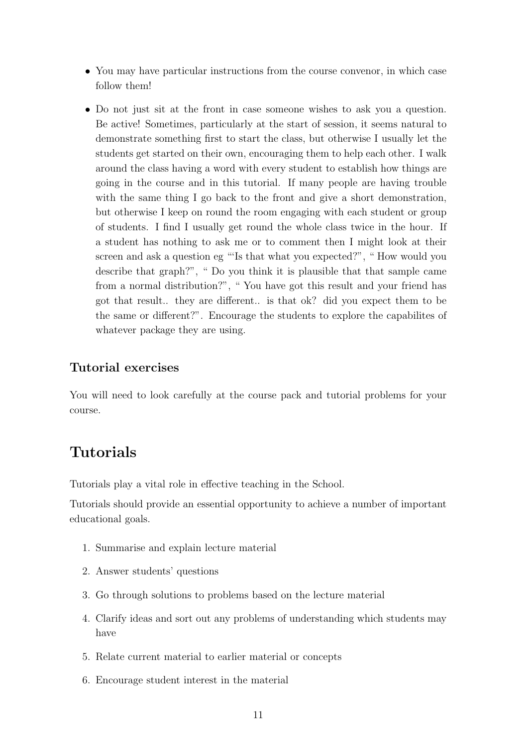- You may have particular instructions from the course convenor, in which case follow them!
- Do not just sit at the front in case someone wishes to ask you a question. Be active! Sometimes, particularly at the start of session, it seems natural to demonstrate something first to start the class, but otherwise I usually let the students get started on their own, encouraging them to help each other. I walk around the class having a word with every student to establish how things are going in the course and in this tutorial. If many people are having trouble with the same thing I go back to the front and give a short demonstration, but otherwise I keep on round the room engaging with each student or group of students. I find I usually get round the whole class twice in the hour. If a student has nothing to ask me or to comment then I might look at their screen and ask a question eg "'Is that what you expected?", " How would you describe that graph?", " Do you think it is plausible that that sample came from a normal distribution?", " You have got this result and your friend has got that result.. they are different.. is that ok? did you expect them to be the same or different?". Encourage the students to explore the capabilites of whatever package they are using.

#### <span id="page-10-0"></span>Tutorial exercises

You will need to look carefully at the course pack and tutorial problems for your course.

## <span id="page-10-1"></span>Tutorials

Tutorials play a vital role in effective teaching in the School.

Tutorials should provide an essential opportunity to achieve a number of important educational goals.

- 1. Summarise and explain lecture material
- 2. Answer students' questions
- 3. Go through solutions to problems based on the lecture material
- 4. Clarify ideas and sort out any problems of understanding which students may have
- 5. Relate current material to earlier material or concepts
- 6. Encourage student interest in the material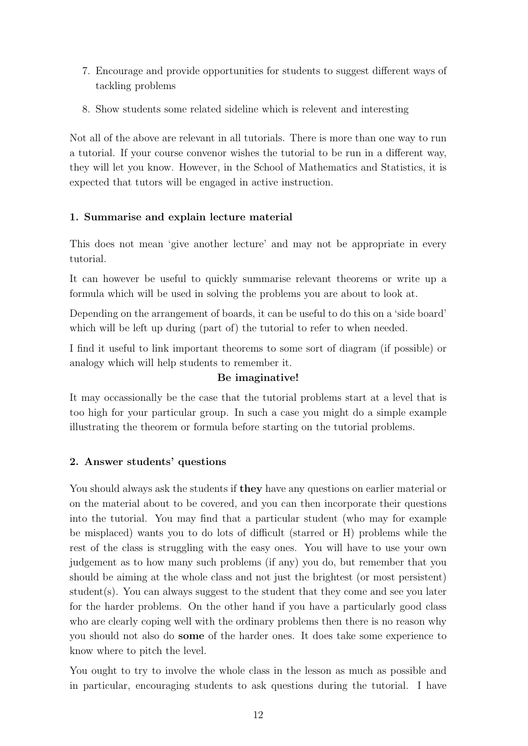- 7. Encourage and provide opportunities for students to suggest different ways of tackling problems
- 8. Show students some related sideline which is relevent and interesting

Not all of the above are relevant in all tutorials. There is more than one way to run a tutorial. If your course convenor wishes the tutorial to be run in a different way, they will let you know. However, in the School of Mathematics and Statistics, it is expected that tutors will be engaged in active instruction.

## 1. Summarise and explain lecture material

This does not mean 'give another lecture' and may not be appropriate in every tutorial.

It can however be useful to quickly summarise relevant theorems or write up a formula which will be used in solving the problems you are about to look at.

Depending on the arrangement of boards, it can be useful to do this on a 'side board' which will be left up during (part of) the tutorial to refer to when needed.

I find it useful to link important theorems to some sort of diagram (if possible) or analogy which will help students to remember it.

## Be imaginative!

It may occassionally be the case that the tutorial problems start at a level that is too high for your particular group. In such a case you might do a simple example illustrating the theorem or formula before starting on the tutorial problems.

## 2. Answer students' questions

You should always ask the students if they have any questions on earlier material or on the material about to be covered, and you can then incorporate their questions into the tutorial. You may find that a particular student (who may for example be misplaced) wants you to do lots of difficult (starred or H) problems while the rest of the class is struggling with the easy ones. You will have to use your own judgement as to how many such problems (if any) you do, but remember that you should be aiming at the whole class and not just the brightest (or most persistent) student(s). You can always suggest to the student that they come and see you later for the harder problems. On the other hand if you have a particularly good class who are clearly coping well with the ordinary problems then there is no reason why you should not also do some of the harder ones. It does take some experience to know where to pitch the level.

You ought to try to involve the whole class in the lesson as much as possible and in particular, encouraging students to ask questions during the tutorial. I have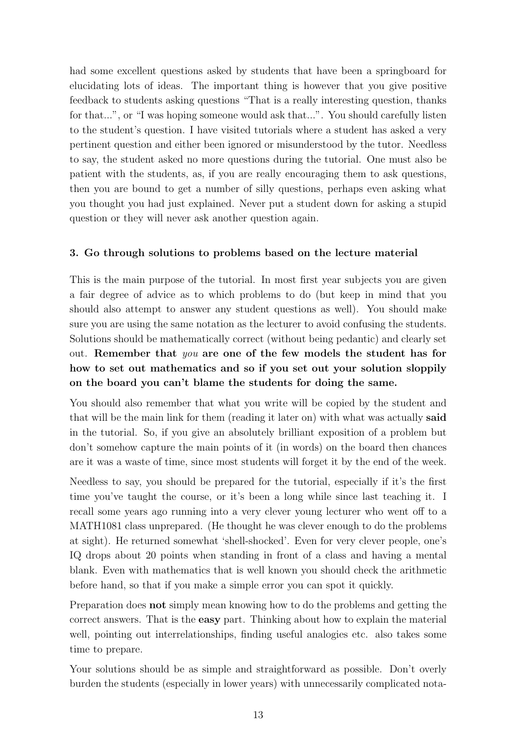had some excellent questions asked by students that have been a springboard for elucidating lots of ideas. The important thing is however that you give positive feedback to students asking questions "That is a really interesting question, thanks for that...", or "I was hoping someone would ask that...". You should carefully listen to the student's question. I have visited tutorials where a student has asked a very pertinent question and either been ignored or misunderstood by the tutor. Needless to say, the student asked no more questions during the tutorial. One must also be patient with the students, as, if you are really encouraging them to ask questions, then you are bound to get a number of silly questions, perhaps even asking what you thought you had just explained. Never put a student down for asking a stupid question or they will never ask another question again.

#### 3. Go through solutions to problems based on the lecture material

This is the main purpose of the tutorial. In most first year subjects you are given a fair degree of advice as to which problems to do (but keep in mind that you should also attempt to answer any student questions as well). You should make sure you are using the same notation as the lecturer to avoid confusing the students. Solutions should be mathematically correct (without being pedantic) and clearly set out. Remember that you are one of the few models the student has for how to set out mathematics and so if you set out your solution sloppily on the board you can't blame the students for doing the same.

You should also remember that what you write will be copied by the student and that will be the main link for them (reading it later on) with what was actually said in the tutorial. So, if you give an absolutely brilliant exposition of a problem but don't somehow capture the main points of it (in words) on the board then chances are it was a waste of time, since most students will forget it by the end of the week.

Needless to say, you should be prepared for the tutorial, especially if it's the first time you've taught the course, or it's been a long while since last teaching it. I recall some years ago running into a very clever young lecturer who went off to a MATH1081 class unprepared. (He thought he was clever enough to do the problems at sight). He returned somewhat 'shell-shocked'. Even for very clever people, one's IQ drops about 20 points when standing in front of a class and having a mental blank. Even with mathematics that is well known you should check the arithmetic before hand, so that if you make a simple error you can spot it quickly.

Preparation does not simply mean knowing how to do the problems and getting the correct answers. That is the easy part. Thinking about how to explain the material well, pointing out interrelationships, finding useful analogies etc. also takes some time to prepare.

Your solutions should be as simple and straightforward as possible. Don't overly burden the students (especially in lower years) with unnecessarily complicated nota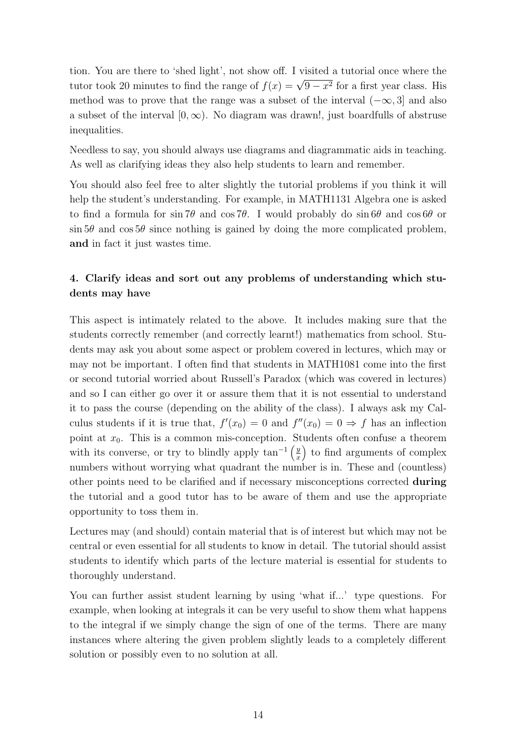tion. You are there to 'shed light', not show off. I visited a tutorial once where the tutor took 20 minutes to find the range of  $f(x) = \sqrt{9 - x^2}$  for a first year class. His method was to prove that the range was a subset of the interval  $(-\infty, 3]$  and also a subset of the interval  $[0,\infty)$ . No diagram was drawn!, just boardfulls of abstruse inequalities.

Needless to say, you should always use diagrams and diagrammatic aids in teaching. As well as clarifying ideas they also help students to learn and remember.

You should also feel free to alter slightly the tutorial problems if you think it will help the student's understanding. For example, in MATH1131 Algebra one is asked to find a formula for sin 7 $\theta$  and cos 7 $\theta$ . I would probably do sin 6 $\theta$  and cos 6 $\theta$  or  $\sin 5\theta$  and  $\cos 5\theta$  since nothing is gained by doing the more complicated problem, and in fact it just wastes time.

#### 4. Clarify ideas and sort out any problems of understanding which students may have

This aspect is intimately related to the above. It includes making sure that the students correctly remember (and correctly learnt!) mathematics from school. Students may ask you about some aspect or problem covered in lectures, which may or may not be important. I often find that students in MATH1081 come into the first or second tutorial worried about Russell's Paradox (which was covered in lectures) and so I can either go over it or assure them that it is not essential to understand it to pass the course (depending on the ability of the class). I always ask my Calculus students if it is true that,  $f'(x_0) = 0$  and  $f''(x_0) = 0 \Rightarrow f$  has an inflection point at  $x_0$ . This is a common mis-conception. Students often confuse a theorem with its converse, or try to blindly apply  $\tan^{-1}\left(\frac{y}{x}\right)$ x ) to find arguments of complex numbers without worrying what quadrant the number is in. These and (countless) other points need to be clarified and if necessary misconceptions corrected during the tutorial and a good tutor has to be aware of them and use the appropriate opportunity to toss them in.

Lectures may (and should) contain material that is of interest but which may not be central or even essential for all students to know in detail. The tutorial should assist students to identify which parts of the lecture material is essential for students to thoroughly understand.

You can further assist student learning by using 'what if...' type questions. For example, when looking at integrals it can be very useful to show them what happens to the integral if we simply change the sign of one of the terms. There are many instances where altering the given problem slightly leads to a completely different solution or possibly even to no solution at all.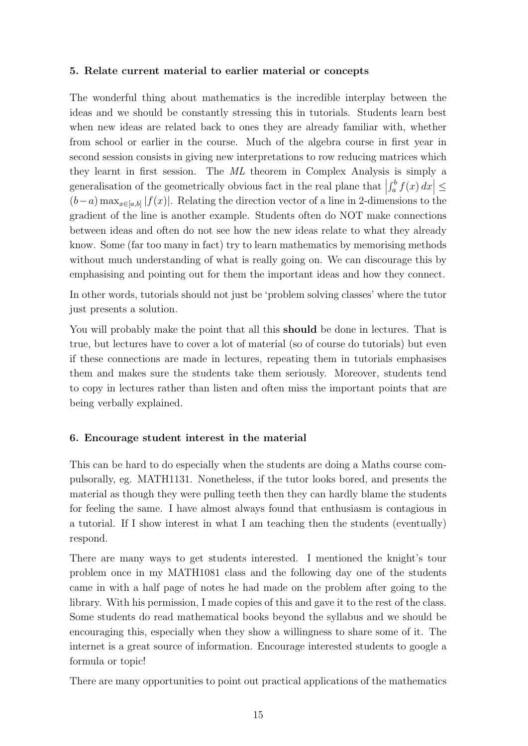#### 5. Relate current material to earlier material or concepts

The wonderful thing about mathematics is the incredible interplay between the ideas and we should be constantly stressing this in tutorials. Students learn best when new ideas are related back to ones they are already familiar with, whether from school or earlier in the course. Much of the algebra course in first year in second session consists in giving new interpretations to row reducing matrices which they learnt in first session. The ML theorem in Complex Analysis is simply a generalisation of the geometrically obvious fact in the real plane that  $\left| \right|$  $\left| \int_a^b f(x) \, dx \right| \le$  $(b-a)$  max<sub>x∈[a,b]</sub> | $f(x)$ . Relating the direction vector of a line in 2-dimensions to the gradient of the line is another example. Students often do NOT make connections between ideas and often do not see how the new ideas relate to what they already know. Some (far too many in fact) try to learn mathematics by memorising methods without much understanding of what is really going on. We can discourage this by emphasising and pointing out for them the important ideas and how they connect.

In other words, tutorials should not just be 'problem solving classes' where the tutor just presents a solution.

You will probably make the point that all this should be done in lectures. That is true, but lectures have to cover a lot of material (so of course do tutorials) but even if these connections are made in lectures, repeating them in tutorials emphasises them and makes sure the students take them seriously. Moreover, students tend to copy in lectures rather than listen and often miss the important points that are being verbally explained.

#### 6. Encourage student interest in the material

This can be hard to do especially when the students are doing a Maths course compulsorally, eg. MATH1131. Nonetheless, if the tutor looks bored, and presents the material as though they were pulling teeth then they can hardly blame the students for feeling the same. I have almost always found that enthusiasm is contagious in a tutorial. If I show interest in what I am teaching then the students (eventually) respond.

There are many ways to get students interested. I mentioned the knight's tour problem once in my MATH1081 class and the following day one of the students came in with a half page of notes he had made on the problem after going to the library. With his permission, I made copies of this and gave it to the rest of the class. Some students do read mathematical books beyond the syllabus and we should be encouraging this, especially when they show a willingness to share some of it. The internet is a great source of information. Encourage interested students to google a formula or topic!

There are many opportunities to point out practical applications of the mathematics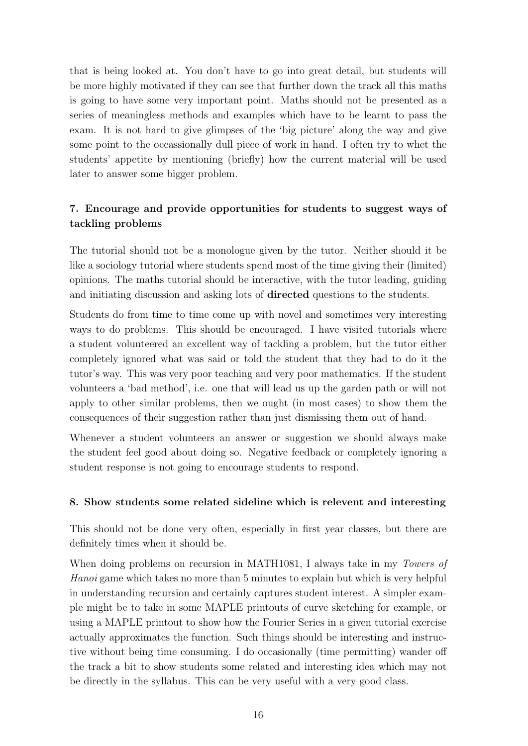that is being looked at. You don't have to go into great detail, but students will be more highly motivated if they can see that further down the track all this maths is going to have some very important point. Maths should not be presented as a series of meaningless methods and examples which have to be learnt to pass the exam. It is not hard to give glimpses of the 'big picture' along the way and give some point to the occassionally dull piece of work in hand. I often try to whet the students' appetite by mentioning (briefly) how the current material will be used later to answer some bigger problem.

## 7. Encourage and provide opportunities for students to suggest ways of tackling problems

The tutorial should not be a monologue given by the tutor. Neither should it be like a sociology tutorial where students spend most of the time giving their (limited) opinions. The maths tutorial should be interactive, with the tutor leading, guiding and initiating discussion and asking lots of directed questions to the students.

Students do from time to time come up with novel and sometimes very interesting ways to do problems. This should be encouraged. I have visited tutorials where a student volunteered an excellent way of tackling a problem, but the tutor either completely ignored what was said or told the student that they had to do it the tutor's way. This was very poor teaching and very poor mathematics. If the student volunteers a 'bad method', i.e. one that will lead us up the garden path or will not apply to other similar problems, then we ought (in most cases) to show them the consequences of their suggestion rather than just dismissing them out of hand.

Whenever a student volunteers an answer or suggestion we should always make the student feel good about doing so. Negative feedback or completely ignoring a student response is not going to encourage students to respond.

#### 8. Show students some related sideline which is relevent and interesting

This should not be done very often, especially in first year classes, but there are definitely times when it should be.

When doing problems on recursion in MATH1081, I always take in my *Towers of* Hanoi game which takes no more than 5 minutes to explain but which is very helpful in understanding recursion and certainly captures student interest. A simpler example might be to take in some MAPLE printouts of curve sketching for example, or using a MAPLE printout to show how the Fourier Series in a given tutorial exercise actually approximates the function. Such things should be interesting and instructive without being time consuming. I do occasionally (time permitting) wander off the track a bit to show students some related and interesting idea which may not be directly in the syllabus. This can be very useful with a very good class.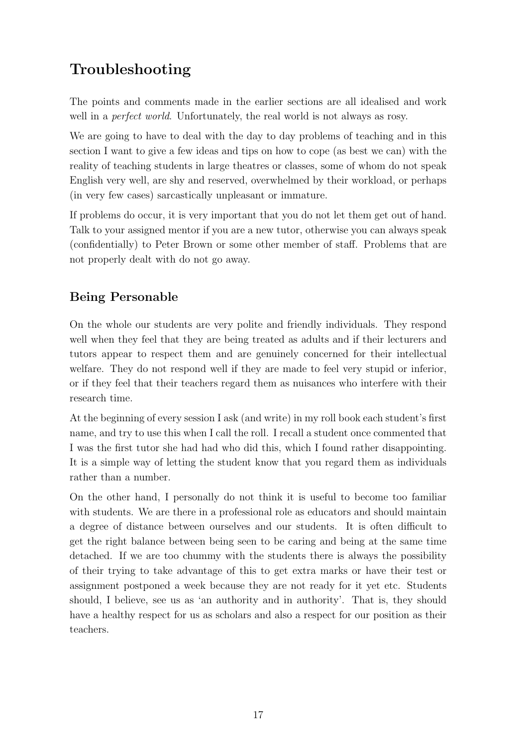# <span id="page-16-0"></span>Troubleshooting

The points and comments made in the earlier sections are all idealised and work well in a *perfect world*. Unfortunately, the real world is not always as rosy.

We are going to have to deal with the day to day problems of teaching and in this section I want to give a few ideas and tips on how to cope (as best we can) with the reality of teaching students in large theatres or classes, some of whom do not speak English very well, are shy and reserved, overwhelmed by their workload, or perhaps (in very few cases) sarcastically unpleasant or immature.

If problems do occur, it is very important that you do not let them get out of hand. Talk to your assigned mentor if you are a new tutor, otherwise you can always speak (confidentially) to Peter Brown or some other member of staff. Problems that are not properly dealt with do not go away.

## <span id="page-16-1"></span>Being Personable

On the whole our students are very polite and friendly individuals. They respond well when they feel that they are being treated as adults and if their lecturers and tutors appear to respect them and are genuinely concerned for their intellectual welfare. They do not respond well if they are made to feel very stupid or inferior, or if they feel that their teachers regard them as nuisances who interfere with their research time.

At the beginning of every session I ask (and write) in my roll book each student's first name, and try to use this when I call the roll. I recall a student once commented that I was the first tutor she had had who did this, which I found rather disappointing. It is a simple way of letting the student know that you regard them as individuals rather than a number.

On the other hand, I personally do not think it is useful to become too familiar with students. We are there in a professional role as educators and should maintain a degree of distance between ourselves and our students. It is often difficult to get the right balance between being seen to be caring and being at the same time detached. If we are too chummy with the students there is always the possibility of their trying to take advantage of this to get extra marks or have their test or assignment postponed a week because they are not ready for it yet etc. Students should, I believe, see us as 'an authority and in authority'. That is, they should have a healthy respect for us as scholars and also a respect for our position as their teachers.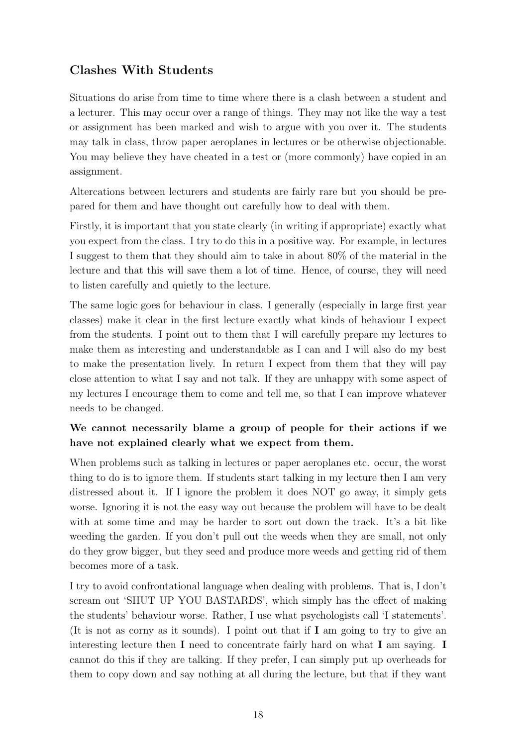## <span id="page-17-0"></span>Clashes With Students

Situations do arise from time to time where there is a clash between a student and a lecturer. This may occur over a range of things. They may not like the way a test or assignment has been marked and wish to argue with you over it. The students may talk in class, throw paper aeroplanes in lectures or be otherwise objectionable. You may believe they have cheated in a test or (more commonly) have copied in an assignment.

Altercations between lecturers and students are fairly rare but you should be prepared for them and have thought out carefully how to deal with them.

Firstly, it is important that you state clearly (in writing if appropriate) exactly what you expect from the class. I try to do this in a positive way. For example, in lectures I suggest to them that they should aim to take in about 80% of the material in the lecture and that this will save them a lot of time. Hence, of course, they will need to listen carefully and quietly to the lecture.

The same logic goes for behaviour in class. I generally (especially in large first year classes) make it clear in the first lecture exactly what kinds of behaviour I expect from the students. I point out to them that I will carefully prepare my lectures to make them as interesting and understandable as I can and I will also do my best to make the presentation lively. In return I expect from them that they will pay close attention to what I say and not talk. If they are unhappy with some aspect of my lectures I encourage them to come and tell me, so that I can improve whatever needs to be changed.

## We cannot necessarily blame a group of people for their actions if we have not explained clearly what we expect from them.

When problems such as talking in lectures or paper aeroplanes etc. occur, the worst thing to do is to ignore them. If students start talking in my lecture then I am very distressed about it. If I ignore the problem it does NOT go away, it simply gets worse. Ignoring it is not the easy way out because the problem will have to be dealt with at some time and may be harder to sort out down the track. It's a bit like weeding the garden. If you don't pull out the weeds when they are small, not only do they grow bigger, but they seed and produce more weeds and getting rid of them becomes more of a task.

I try to avoid confrontational language when dealing with problems. That is, I don't scream out 'SHUT UP YOU BASTARDS', which simply has the effect of making the students' behaviour worse. Rather, I use what psychologists call 'I statements'. (It is not as corny as it sounds). I point out that if I am going to try to give an interesting lecture then I need to concentrate fairly hard on what I am saying. I cannot do this if they are talking. If they prefer, I can simply put up overheads for them to copy down and say nothing at all during the lecture, but that if they want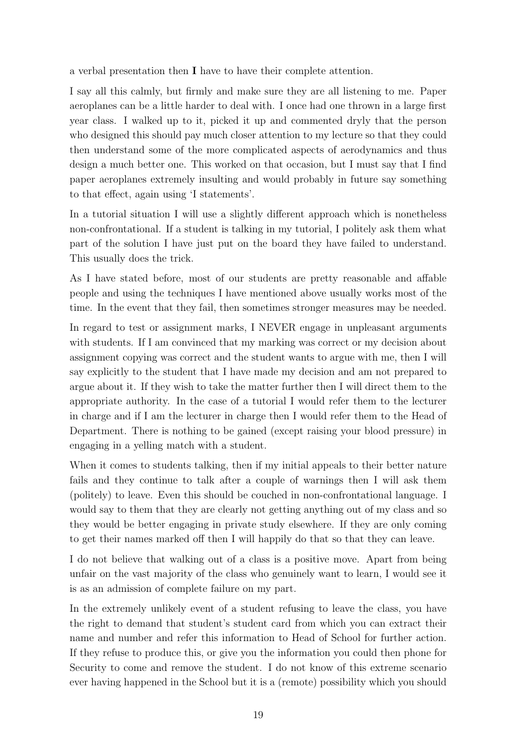a verbal presentation then I have to have their complete attention.

I say all this calmly, but firmly and make sure they are all listening to me. Paper aeroplanes can be a little harder to deal with. I once had one thrown in a large first year class. I walked up to it, picked it up and commented dryly that the person who designed this should pay much closer attention to my lecture so that they could then understand some of the more complicated aspects of aerodynamics and thus design a much better one. This worked on that occasion, but I must say that I find paper aeroplanes extremely insulting and would probably in future say something to that effect, again using 'I statements'.

In a tutorial situation I will use a slightly different approach which is nonetheless non-confrontational. If a student is talking in my tutorial, I politely ask them what part of the solution I have just put on the board they have failed to understand. This usually does the trick.

As I have stated before, most of our students are pretty reasonable and affable people and using the techniques I have mentioned above usually works most of the time. In the event that they fail, then sometimes stronger measures may be needed.

In regard to test or assignment marks, I NEVER engage in unpleasant arguments with students. If I am convinced that my marking was correct or my decision about assignment copying was correct and the student wants to argue with me, then I will say explicitly to the student that I have made my decision and am not prepared to argue about it. If they wish to take the matter further then I will direct them to the appropriate authority. In the case of a tutorial I would refer them to the lecturer in charge and if I am the lecturer in charge then I would refer them to the Head of Department. There is nothing to be gained (except raising your blood pressure) in engaging in a yelling match with a student.

When it comes to students talking, then if my initial appeals to their better nature fails and they continue to talk after a couple of warnings then I will ask them (politely) to leave. Even this should be couched in non-confrontational language. I would say to them that they are clearly not getting anything out of my class and so they would be better engaging in private study elsewhere. If they are only coming to get their names marked off then I will happily do that so that they can leave.

I do not believe that walking out of a class is a positive move. Apart from being unfair on the vast majority of the class who genuinely want to learn, I would see it is as an admission of complete failure on my part.

In the extremely unlikely event of a student refusing to leave the class, you have the right to demand that student's student card from which you can extract their name and number and refer this information to Head of School for further action. If they refuse to produce this, or give you the information you could then phone for Security to come and remove the student. I do not know of this extreme scenario ever having happened in the School but it is a (remote) possibility which you should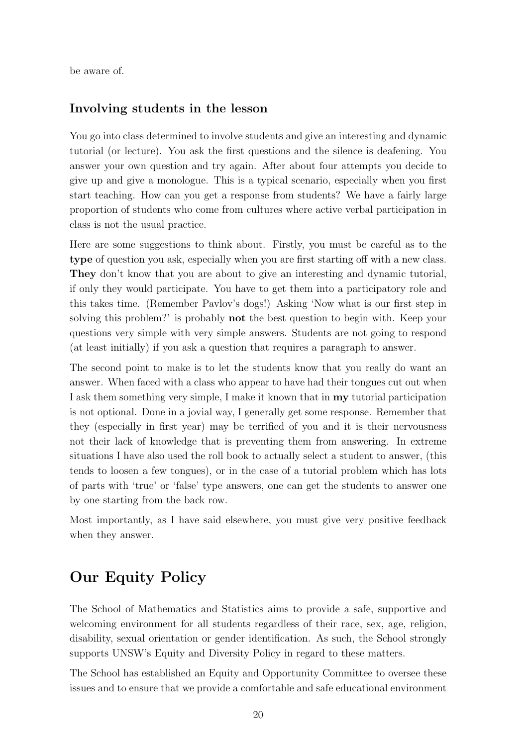be aware of.

#### <span id="page-19-0"></span>Involving students in the lesson

You go into class determined to involve students and give an interesting and dynamic tutorial (or lecture). You ask the first questions and the silence is deafening. You answer your own question and try again. After about four attempts you decide to give up and give a monologue. This is a typical scenario, especially when you first start teaching. How can you get a response from students? We have a fairly large proportion of students who come from cultures where active verbal participation in class is not the usual practice.

Here are some suggestions to think about. Firstly, you must be careful as to the type of question you ask, especially when you are first starting off with a new class. They don't know that you are about to give an interesting and dynamic tutorial, if only they would participate. You have to get them into a participatory role and this takes time. (Remember Pavlov's dogs!) Asking 'Now what is our first step in solving this problem?' is probably not the best question to begin with. Keep your questions very simple with very simple answers. Students are not going to respond (at least initially) if you ask a question that requires a paragraph to answer.

The second point to make is to let the students know that you really do want an answer. When faced with a class who appear to have had their tongues cut out when I ask them something very simple, I make it known that in my tutorial participation is not optional. Done in a jovial way, I generally get some response. Remember that they (especially in first year) may be terrified of you and it is their nervousness not their lack of knowledge that is preventing them from answering. In extreme situations I have also used the roll book to actually select a student to answer, (this tends to loosen a few tongues), or in the case of a tutorial problem which has lots of parts with 'true' or 'false' type answers, one can get the students to answer one by one starting from the back row.

Most importantly, as I have said elsewhere, you must give very positive feedback when they answer.

## <span id="page-19-1"></span>Our Equity Policy

The School of Mathematics and Statistics aims to provide a safe, supportive and welcoming environment for all students regardless of their race, sex, age, religion, disability, sexual orientation or gender identification. As such, the School strongly supports UNSW's Equity and Diversity Policy in regard to these matters.

The School has established an Equity and Opportunity Committee to oversee these issues and to ensure that we provide a comfortable and safe educational environment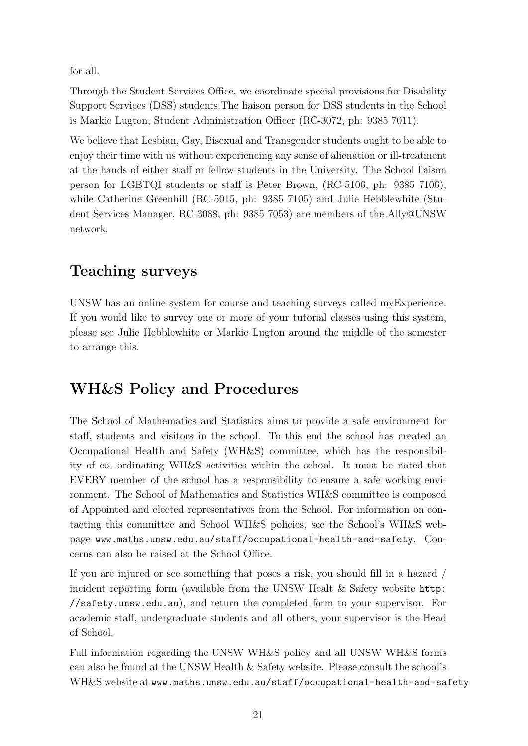for all.

Through the Student Services Office, we coordinate special provisions for Disability Support Services (DSS) students.The liaison person for DSS students in the School is Markie Lugton, Student Administration Officer (RC-3072, ph: 9385 7011).

We believe that Lesbian, Gay, Bisexual and Transgender students ought to be able to enjoy their time with us without experiencing any sense of alienation or ill-treatment at the hands of either staff or fellow students in the University. The School liaison person for LGBTQI students or staff is Peter Brown, (RC-5106, ph: 9385 7106), while Catherine Greenhill (RC-5015, ph: 9385 7105) and Julie Hebblewhite (Student Services Manager, RC-3088, ph: 9385 7053) are members of the Ally@UNSW network.

## <span id="page-20-0"></span>Teaching surveys

UNSW has an online system for course and teaching surveys called myExperience. If you would like to survey one or more of your tutorial classes using this system, please see Julie Hebblewhite or Markie Lugton around the middle of the semester to arrange this.

# <span id="page-20-1"></span>WH&S Policy and Procedures

The School of Mathematics and Statistics aims to provide a safe environment for staff, students and visitors in the school. To this end the school has created an Occupational Health and Safety (WH&S) committee, which has the responsibility of co- ordinating WH&S activities within the school. It must be noted that EVERY member of the school has a responsibility to ensure a safe working environment. The School of Mathematics and Statistics WH&S committee is composed of Appointed and elected representatives from the School. For information on contacting this committee and School WH&S policies, see the School's WH&S webpage <www.maths.unsw.edu.au/staff/occupational-health-and-safety>. Concerns can also be raised at the School Office.

If you are injured or see something that poses a risk, you should fill in a hazard / incident reporting form (available from the UNSW Healt & Safety website [http:](http://safety.unsw.edu.au) [//safety.unsw.edu.au](http://safety.unsw.edu.au)), and return the completed form to your supervisor. For academic staff, undergraduate students and all others, your supervisor is the Head of School.

Full information regarding the UNSW WH&S policy and all UNSW WH&S forms can also be found at the UNSW Health & Safety website. Please consult the school's WH&S website at <www.maths.unsw.edu.au/staff/occupational-health-and-safety>